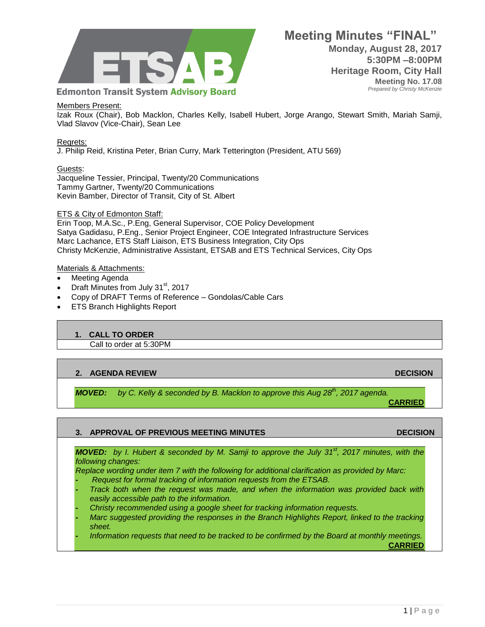

### Members Present:

Izak Roux (Chair), Bob Macklon, Charles Kelly, Isabell Hubert, Jorge Arango, Stewart Smith, Mariah Samji, Vlad Slavov (Vice-Chair), Sean Lee

#### Regrets:

J. Philip Reid, Kristina Peter, Brian Curry, Mark Tetterington (President, ATU 569)

## Guests:

Jacqueline Tessier, Principal, Twenty/20 Communications Tammy Gartner, Twenty/20 Communications Kevin Bamber, Director of Transit, City of St. Albert

## ETS & City of Edmonton Staff:

Erin Toop, M.A.Sc., P.Eng, General Supervisor, COE Policy Development Satya Gadidasu, P.Eng., Senior Project Engineer, COE Integrated Infrastructure Services Marc Lachance, ETS Staff Liaison, ETS Business Integration, City Ops Christy McKenzie, Administrative Assistant, ETSAB and ETS Technical Services, City Ops

#### Materials & Attachments:

- Meeting Agenda
- Draft Minutes from July  $31<sup>st</sup>$ , 2017
- Copy of DRAFT Terms of Reference Gondolas/Cable Cars
- ETS Branch Highlights Report

## **1. CALL TO ORDER**

Call to order at 5:30PM

## **2. AGENDA REVIEW DECISION**

*MOVED: by C. Kelly & seconded by B. Macklon to approve this Aug 28th, 2017 agenda.* **CARRIED**

## **3. APPROVAL OF PREVIOUS MEETING MINUTES DECISION**

*MOVED: by I. Hubert & seconded by M. Samji to approve the July 31st, 2017 minutes, with the following changes:*

*Replace wording under item 7 with the following for additional clarification as provided by Marc:*

- **-** *Request for formal tracking of information requests from the ETSAB.*
- **-** *Track both when the request was made, and when the information was provided back with easily accessible path to the information.*
- **-** *Christy recommended using a google sheet for tracking information requests.*
- **-** *Marc suggested providing the responses in the Branch Highlights Report, linked to the tracking sheet.*
- **-** *Information requests that need to be tracked to be confirmed by the Board at monthly meetings.*

**CARRIED**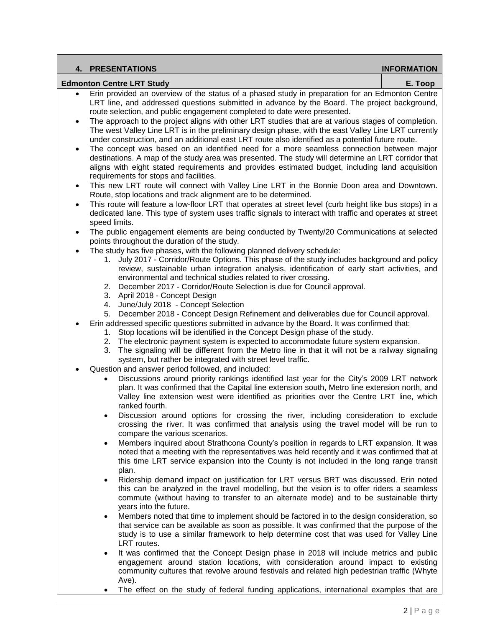|                                             | <b>4. PRESENTATIONS</b>                                                                                                                                                                                                                                                                                                                                                                                                                                                                                | <b>INFORMATION</b> |  |  |
|---------------------------------------------|--------------------------------------------------------------------------------------------------------------------------------------------------------------------------------------------------------------------------------------------------------------------------------------------------------------------------------------------------------------------------------------------------------------------------------------------------------------------------------------------------------|--------------------|--|--|
| <b>Edmonton Centre LRT Study</b><br>E. Toop |                                                                                                                                                                                                                                                                                                                                                                                                                                                                                                        |                    |  |  |
|                                             | Erin provided an overview of the status of a phased study in preparation for an Edmonton Centre<br>LRT line, and addressed questions submitted in advance by the Board. The project background,<br>route selection, and public engagement completed to date were presented.                                                                                                                                                                                                                            |                    |  |  |
|                                             | The approach to the project aligns with other LRT studies that are at various stages of completion.<br>The west Valley Line LRT is in the preliminary design phase, with the east Valley Line LRT currently<br>under construction, and an additional east LRT route also identified as a potential future route.                                                                                                                                                                                       |                    |  |  |
|                                             | The concept was based on an identified need for a more seamless connection between major<br>destinations. A map of the study area was presented. The study will determine an LRT corridor that<br>aligns with eight stated requirements and provides estimated budget, including land acquisition<br>requirements for stops and facilities.                                                                                                                                                            |                    |  |  |
| $\bullet$                                   | This new LRT route will connect with Valley Line LRT in the Bonnie Doon area and Downtown.<br>Route, stop locations and track alignment are to be determined.                                                                                                                                                                                                                                                                                                                                          |                    |  |  |
| $\bullet$                                   | This route will feature a low-floor LRT that operates at street level (curb height like bus stops) in a<br>dedicated lane. This type of system uses traffic signals to interact with traffic and operates at street<br>speed limits.                                                                                                                                                                                                                                                                   |                    |  |  |
| $\bullet$                                   | The public engagement elements are being conducted by Twenty/20 Communications at selected<br>points throughout the duration of the study.                                                                                                                                                                                                                                                                                                                                                             |                    |  |  |
|                                             | The study has five phases, with the following planned delivery schedule:<br>July 2017 - Corridor/Route Options. This phase of the study includes background and policy<br>1.<br>review, sustainable urban integration analysis, identification of early start activities, and<br>environmental and technical studies related to river crossing.<br>2. December 2017 - Corridor/Route Selection is due for Council approval.<br>3. April 2018 - Concept Design<br>4. June/July 2018 - Concept Selection |                    |  |  |
|                                             | December 2018 - Concept Design Refinement and deliverables due for Council approval.<br>5.<br>Erin addressed specific questions submitted in advance by the Board. It was confirmed that:<br>Stop locations will be identified in the Concept Design phase of the study.<br>1.                                                                                                                                                                                                                         |                    |  |  |
|                                             | The electronic payment system is expected to accommodate future system expansion.<br>2.<br>The signaling will be different from the Metro line in that it will not be a railway signaling<br>3.<br>system, but rather be integrated with street level traffic.                                                                                                                                                                                                                                         |                    |  |  |
|                                             | Question and answer period followed, and included:<br>Discussions around priority rankings identified last year for the City's 2009 LRT network<br>plan. It was confirmed that the Capital line extension south, Metro line extension north, and<br>Valley line extension west were identified as priorities over the Centre LRT line, which                                                                                                                                                           |                    |  |  |
|                                             | ranked fourth.<br>Discussion around options for crossing the river, including consideration to exclude<br>crossing the river. It was confirmed that analysis using the travel model will be run to<br>compare the various scenarios.                                                                                                                                                                                                                                                                   |                    |  |  |
|                                             | Members inquired about Strathcona County's position in regards to LRT expansion. It was<br>$\bullet$<br>noted that a meeting with the representatives was held recently and it was confirmed that at<br>this time LRT service expansion into the County is not included in the long range transit<br>plan.                                                                                                                                                                                             |                    |  |  |
|                                             | Ridership demand impact on justification for LRT versus BRT was discussed. Erin noted<br>$\bullet$<br>this can be analyzed in the travel modelling, but the vision is to offer riders a seamless<br>commute (without having to transfer to an alternate mode) and to be sustainable thirty<br>years into the future.                                                                                                                                                                                   |                    |  |  |
|                                             | Members noted that time to implement should be factored in to the design consideration, so<br>$\bullet$<br>that service can be available as soon as possible. It was confirmed that the purpose of the<br>study is to use a similar framework to help determine cost that was used for Valley Line<br>LRT routes.                                                                                                                                                                                      |                    |  |  |
|                                             | It was confirmed that the Concept Design phase in 2018 will include metrics and public<br>٠<br>engagement around station locations, with consideration around impact to existing                                                                                                                                                                                                                                                                                                                       |                    |  |  |

- engagement around station locations, with consideration around impact to existing community cultures that revolve around festivals and related high pedestrian traffic (Whyte Ave).
- The effect on the study of federal funding applications, international examples that are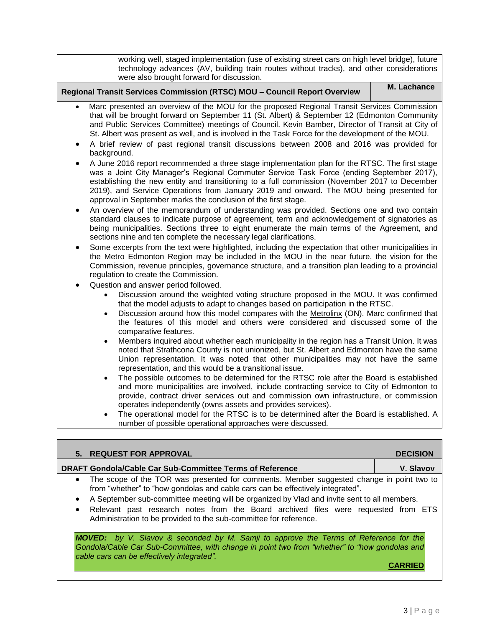| working well, staged implementation (use of existing street cars on high level bridge), future<br>technology advances (AV, building train routes without tracks), and other considerations<br>were also brought forward for discussion.                                                                                                                                                                                                                                                                                                                                                                                                                                                                                                                                                                                                                                                                                                                                                                                                                                                                                                                                                                                                                                                                                                                                                                                                                                                                                                                                                                                                                                                                                                                                                                                                                                                                                                                                                                                                                                                                                                                                                                                                                                                                                                                                                                                                                                                                                                                                                                                                                                                                                                                                                                                                                                                                                                                                                                                                                                                      |                 |  |  |  |
|----------------------------------------------------------------------------------------------------------------------------------------------------------------------------------------------------------------------------------------------------------------------------------------------------------------------------------------------------------------------------------------------------------------------------------------------------------------------------------------------------------------------------------------------------------------------------------------------------------------------------------------------------------------------------------------------------------------------------------------------------------------------------------------------------------------------------------------------------------------------------------------------------------------------------------------------------------------------------------------------------------------------------------------------------------------------------------------------------------------------------------------------------------------------------------------------------------------------------------------------------------------------------------------------------------------------------------------------------------------------------------------------------------------------------------------------------------------------------------------------------------------------------------------------------------------------------------------------------------------------------------------------------------------------------------------------------------------------------------------------------------------------------------------------------------------------------------------------------------------------------------------------------------------------------------------------------------------------------------------------------------------------------------------------------------------------------------------------------------------------------------------------------------------------------------------------------------------------------------------------------------------------------------------------------------------------------------------------------------------------------------------------------------------------------------------------------------------------------------------------------------------------------------------------------------------------------------------------------------------------------------------------------------------------------------------------------------------------------------------------------------------------------------------------------------------------------------------------------------------------------------------------------------------------------------------------------------------------------------------------------------------------------------------------------------------------------------------------|-----------------|--|--|--|
| M. Lachance<br>Regional Transit Services Commission (RTSC) MOU - Council Report Overview                                                                                                                                                                                                                                                                                                                                                                                                                                                                                                                                                                                                                                                                                                                                                                                                                                                                                                                                                                                                                                                                                                                                                                                                                                                                                                                                                                                                                                                                                                                                                                                                                                                                                                                                                                                                                                                                                                                                                                                                                                                                                                                                                                                                                                                                                                                                                                                                                                                                                                                                                                                                                                                                                                                                                                                                                                                                                                                                                                                                     |                 |  |  |  |
| Marc presented an overview of the MOU for the proposed Regional Transit Services Commission<br>$\bullet$<br>that will be brought forward on September 11 (St. Albert) & September 12 (Edmonton Community<br>and Public Services Committee) meetings of Council. Kevin Bamber, Director of Transit at City of<br>St. Albert was present as well, and is involved in the Task Force for the development of the MOU.<br>A brief review of past regional transit discussions between 2008 and 2016 was provided for<br>$\bullet$<br>background.<br>A June 2016 report recommended a three stage implementation plan for the RTSC. The first stage<br>$\bullet$<br>was a Joint City Manager's Regional Commuter Service Task Force (ending September 2017),<br>establishing the new entity and transitioning to a full commission (November 2017 to December<br>2019), and Service Operations from January 2019 and onward. The MOU being presented for<br>approval in September marks the conclusion of the first stage.<br>An overview of the memorandum of understanding was provided. Sections one and two contain<br>$\bullet$<br>standard clauses to indicate purpose of agreement, term and acknowledgement of signatories as<br>being municipalities. Sections three to eight enumerate the main terms of the Agreement, and<br>sections nine and ten complete the necessary legal clarifications.<br>Some excerpts from the text were highlighted, including the expectation that other municipalities in<br>$\bullet$<br>the Metro Edmonton Region may be included in the MOU in the near future, the vision for the<br>Commission, revenue principles, governance structure, and a transition plan leading to a provincial<br>regulation to create the Commission.<br>Question and answer period followed.<br>Discussion around the weighted voting structure proposed in the MOU. It was confirmed<br>that the model adjusts to adapt to changes based on participation in the RTSC.<br>Discussion around how this model compares with the Metrolinx (ON). Marc confirmed that<br>$\bullet$<br>the features of this model and others were considered and discussed some of the<br>comparative features.<br>Members inquired about whether each municipality in the region has a Transit Union. It was<br>$\bullet$<br>noted that Strathcona County is not unionized, but St. Albert and Edmonton have the same<br>Union representation. It was noted that other municipalities may not have the same<br>representation, and this would be a transitional issue.<br>The possible outcomes to be determined for the RTSC role after the Board is established<br>$\bullet$<br>and more municipalities are involved, include contracting service to City of Edmonton to<br>provide, contract driver services out and commission own infrastructure, or commission<br>operates independently (owns assets and provides services).<br>The operational model for the RTSC is to be determined after the Board is established. A<br>number of possible operational approaches were discussed. |                 |  |  |  |
| REQUEST FOR APPROVAL                                                                                                                                                                                                                                                                                                                                                                                                                                                                                                                                                                                                                                                                                                                                                                                                                                                                                                                                                                                                                                                                                                                                                                                                                                                                                                                                                                                                                                                                                                                                                                                                                                                                                                                                                                                                                                                                                                                                                                                                                                                                                                                                                                                                                                                                                                                                                                                                                                                                                                                                                                                                                                                                                                                                                                                                                                                                                                                                                                                                                                                                         | <b>DECISION</b> |  |  |  |

| J. REWOLJI I URAFFROVAL                                                                                                                                                                                                                    | <b>PLUIJIUI</b> |
|--------------------------------------------------------------------------------------------------------------------------------------------------------------------------------------------------------------------------------------------|-----------------|
| <b>DRAFT Gondola/Cable Car Sub-Committee Terms of Reference</b>                                                                                                                                                                            | V. Slavov       |
| The scope of the TOR was presented for comments. Member suggested change in point two to<br>from "whether" to "how gondolas and cable cars can be effectively integrated".                                                                 |                 |
| A September sub-committee meeting will be organized by Vlad and invite sent to all members.<br>$\bullet$                                                                                                                                   |                 |
| Relevant past research notes from the Board archived files were requested from ETS<br>٠<br>Administration to be provided to the sub-committee for reference.                                                                               |                 |
| <b>MOVED:</b> by V. Slavov & seconded by M. Samji to approve the Terms of Reference for the<br>Gondola/Cable Car Sub-Committee, with change in point two from "whether" to "how gondolas and<br>cable cars can be effectively integrated". |                 |
|                                                                                                                                                                                                                                            |                 |